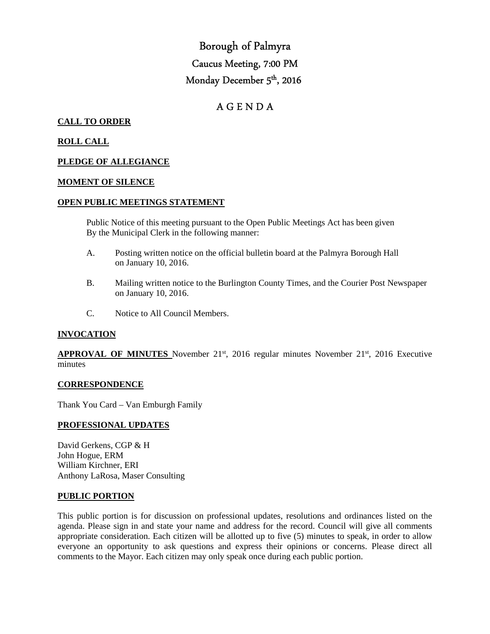# Borough of Palmyra Caucus Meeting, 7:00 PM Monday December 5<sup>th</sup>, 2016

# A G E N D A

# **CALL TO ORDER**

# **ROLL CALL**

# **PLEDGE OF ALLEGIANCE**

# **MOMENT OF SILENCE**

# **OPEN PUBLIC MEETINGS STATEMENT**

 Public Notice of this meeting pursuant to the Open Public Meetings Act has been given By the Municipal Clerk in the following manner:

- A. Posting written notice on the official bulletin board at the Palmyra Borough Hall on January 10, 2016.
- B. Mailing written notice to the Burlington County Times, and the Courier Post Newspaper on January 10, 2016.
- C. Notice to All Council Members.

# **INVOCATION**

**APPROVAL OF MINUTES** November 21<sup>st</sup>, 2016 regular minutes November 21<sup>st</sup>, 2016 Executive minutes

#### **CORRESPONDENCE**

Thank You Card – Van Emburgh Family

# **PROFESSIONAL UPDATES**

David Gerkens, CGP & H John Hogue, ERM William Kirchner, ERI Anthony LaRosa, Maser Consulting

#### **PUBLIC PORTION**

This public portion is for discussion on professional updates, resolutions and ordinances listed on the agenda. Please sign in and state your name and address for the record. Council will give all comments appropriate consideration. Each citizen will be allotted up to five (5) minutes to speak, in order to allow everyone an opportunity to ask questions and express their opinions or concerns. Please direct all comments to the Mayor. Each citizen may only speak once during each public portion.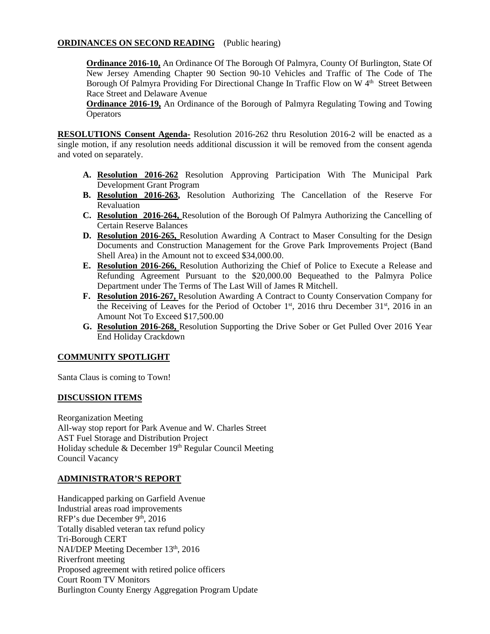# **ORDINANCES ON SECOND READING** (Public hearing)

**Ordinance 2016-10,** An Ordinance Of The Borough Of Palmyra, County Of Burlington, State Of New Jersey Amending Chapter 90 Section 90-10 Vehicles and Traffic of The Code of The Borough Of Palmyra Providing For Directional Change In Traffic Flow on W 4<sup>th</sup> Street Between Race Street and Delaware Avenue

**Ordinance 2016-19,** An Ordinance of the Borough of Palmyra Regulating Towing and Towing **Operators** 

**RESOLUTIONS Consent Agenda-** Resolution 2016-262 thru Resolution 2016-2 will be enacted as a single motion, if any resolution needs additional discussion it will be removed from the consent agenda and voted on separately.

- **A. Resolution 2016-262** Resolution Approving Participation With The Municipal Park Development Grant Program
- **B. Resolution 2016-263,** Resolution Authorizing The Cancellation of the Reserve For Revaluation
- **C. Resolution 2016-264,** Resolution of the Borough Of Palmyra Authorizing the Cancelling of Certain Reserve Balances
- **D. Resolution 2016-265,** Resolution Awarding A Contract to Maser Consulting for the Design Documents and Construction Management for the Grove Park Improvements Project (Band Shell Area) in the Amount not to exceed \$34,000.00.
- **E. Resolution 2016-266,** Resolution Authorizing the Chief of Police to Execute a Release and Refunding Agreement Pursuant to the \$20,000.00 Bequeathed to the Palmyra Police Department under The Terms of The Last Will of James R Mitchell.
- **F. Resolution 2016-267,** Resolution Awarding A Contract to County Conservation Company for the Receiving of Leaves for the Period of October  $1<sup>st</sup>$ , 2016 thru December 31<sup>st</sup>, 2016 in an Amount Not To Exceed \$17,500.00
- **G. Resolution 2016-268,** Resolution Supporting the Drive Sober or Get Pulled Over 2016 Year End Holiday Crackdown

# **COMMUNITY SPOTLIGHT**

Santa Claus is coming to Town!

# **DISCUSSION ITEMS**

Reorganization Meeting All-way stop report for Park Avenue and W. Charles Street AST Fuel Storage and Distribution Project Holiday schedule & December 19th Regular Council Meeting Council Vacancy

# **ADMINISTRATOR'S REPORT**

Handicapped parking on Garfield Avenue Industrial areas road improvements RFP's due December 9<sup>th</sup>, 2016 Totally disabled veteran tax refund policy Tri-Borough CERT NAI/DEP Meeting December 13<sup>th</sup>, 2016 Riverfront meeting Proposed agreement with retired police officers Court Room TV Monitors Burlington County Energy Aggregation Program Update